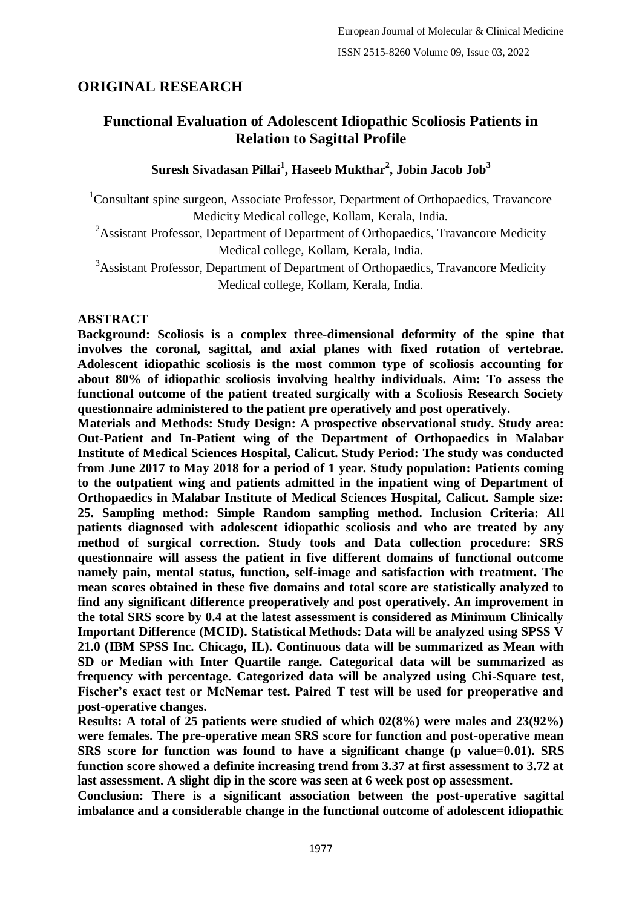# **ORIGINAL RESEARCH**

## **Functional Evaluation of Adolescent Idiopathic Scoliosis Patients in Relation to Sagittal Profile**

## **Suresh Sivadasan Pillai<sup>1</sup> , Haseeb Mukthar<sup>2</sup> , Jobin Jacob Job<sup>3</sup>**

<sup>1</sup>Consultant spine surgeon, Associate Professor, Department of Orthopaedics, Travancore Medicity Medical college, Kollam, Kerala, India.

<sup>2</sup>Assistant Professor, Department of Department of Orthopaedics, Travancore Medicity Medical college, Kollam, Kerala, India.

<sup>3</sup>Assistant Professor, Department of Department of Orthopaedics, Travancore Medicity Medical college, Kollam, Kerala, India.

#### **ABSTRACT**

**Background: Scoliosis is a complex three-dimensional deformity of the spine that involves the coronal, sagittal, and axial planes with fixed rotation of vertebrae. Adolescent idiopathic scoliosis is the most common type of scoliosis accounting for about 80% of idiopathic scoliosis involving healthy individuals. Aim: To assess the functional outcome of the patient treated surgically with a Scoliosis Research Society questionnaire administered to the patient pre operatively and post operatively.**

**Materials and Methods: Study Design: A prospective observational study. Study area: Out-Patient and In-Patient wing of the Department of Orthopaedics in Malabar Institute of Medical Sciences Hospital, Calicut. Study Period: The study was conducted from June 2017 to May 2018 for a period of 1 year. Study population: Patients coming to the outpatient wing and patients admitted in the inpatient wing of Department of Orthopaedics in Malabar Institute of Medical Sciences Hospital, Calicut. Sample size: 25. Sampling method: Simple Random sampling method. Inclusion Criteria: All patients diagnosed with adolescent idiopathic scoliosis and who are treated by any method of surgical correction. Study tools and Data collection procedure: SRS questionnaire will assess the patient in five different domains of functional outcome namely pain, mental status, function, self-image and satisfaction with treatment. The mean scores obtained in these five domains and total score are statistically analyzed to find any significant difference preoperatively and post operatively. An improvement in the total SRS score by 0.4 at the latest assessment is considered as Minimum Clinically Important Difference (MCID). Statistical Methods: Data will be analyzed using SPSS V 21.0 (IBM SPSS Inc. Chicago, IL). Continuous data will be summarized as Mean with SD or Median with Inter Quartile range. Categorical data will be summarized as frequency with percentage. Categorized data will be analyzed using Chi-Square test, Fischer's exact test or McNemar test. Paired T test will be used for preoperative and post-operative changes.**

**Results: A total of 25 patients were studied of which 02(8%) were males and 23(92%) were females. The pre-operative mean SRS score for function and post-operative mean SRS score for function was found to have a significant change (p value=0.01). SRS function score showed a definite increasing trend from 3.37 at first assessment to 3.72 at last assessment. A slight dip in the score was seen at 6 week post op assessment.**

**Conclusion: There is a significant association between the post-operative sagittal imbalance and a considerable change in the functional outcome of adolescent idiopathic**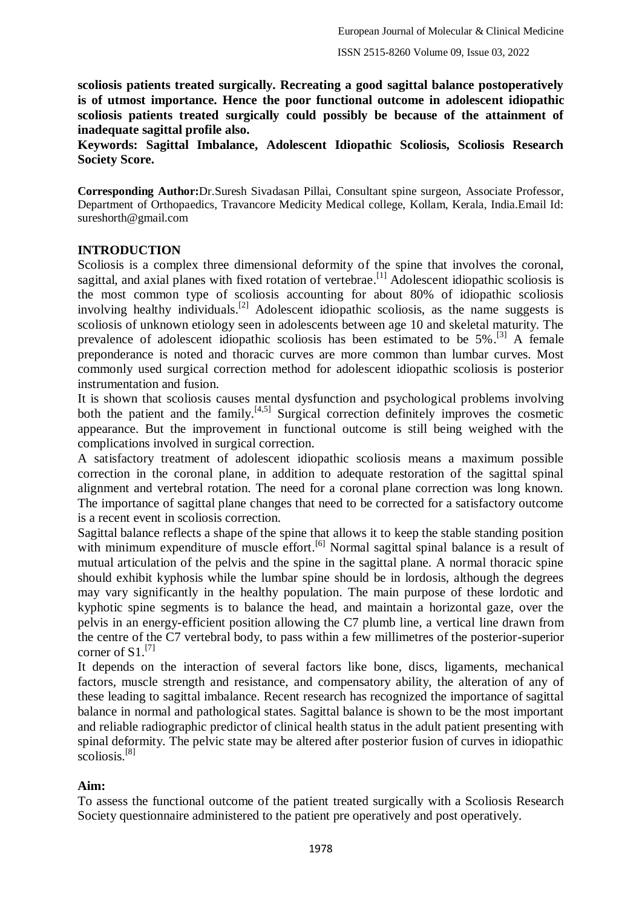**scoliosis patients treated surgically. Recreating a good sagittal balance postoperatively is of utmost importance. Hence the poor functional outcome in adolescent idiopathic scoliosis patients treated surgically could possibly be because of the attainment of inadequate sagittal profile also.**

**Keywords: Sagittal Imbalance, Adolescent Idiopathic Scoliosis, Scoliosis Research Society Score.**

**Corresponding Author:**Dr.Suresh Sivadasan Pillai, Consultant spine surgeon, Associate Professor, Department of Orthopaedics, Travancore Medicity Medical college, Kollam, Kerala, India.Email Id: sureshorth@gmail.com

#### **INTRODUCTION**

Scoliosis is a complex three dimensional deformity of the spine that involves the coronal, sagittal, and axial planes with fixed rotation of vertebrae.<sup>[1]</sup> Adolescent idiopathic scoliosis is the most common type of scoliosis accounting for about 80% of idiopathic scoliosis involving healthy individuals.<sup>[2]</sup> Adolescent idiopathic scoliosis, as the name suggests is scoliosis of unknown etiology seen in adolescents between age 10 and skeletal maturity. The prevalence of adolescent idiopathic scoliosis has been estimated to be 5%.<sup>[3]</sup> A female preponderance is noted and thoracic curves are more common than lumbar curves. Most commonly used surgical correction method for adolescent idiopathic scoliosis is posterior instrumentation and fusion.

It is shown that scoliosis causes mental dysfunction and psychological problems involving both the patient and the family.<sup>[4,5]</sup> Surgical correction definitely improves the cosmetic appearance. But the improvement in functional outcome is still being weighed with the complications involved in surgical correction.

A satisfactory treatment of adolescent idiopathic scoliosis means a maximum possible correction in the coronal plane, in addition to adequate restoration of the sagittal spinal alignment and vertebral rotation. The need for a coronal plane correction was long known. The importance of sagittal plane changes that need to be corrected for a satisfactory outcome is a recent event in scoliosis correction.

Sagittal balance reflects a shape of the spine that allows it to keep the stable standing position with minimum expenditure of muscle effort.<sup>[6]</sup> Normal sagittal spinal balance is a result of mutual articulation of the pelvis and the spine in the sagittal plane. A normal thoracic spine should exhibit kyphosis while the lumbar spine should be in lordosis, although the degrees may vary significantly in the healthy population. The main purpose of these lordotic and kyphotic spine segments is to balance the head, and maintain a horizontal gaze, over the pelvis in an energy-efficient position allowing the C7 plumb line, a vertical line drawn from the centre of the C7 vertebral body, to pass within a few millimetres of the posterior-superior corner of S1.<sup>[7]</sup>

It depends on the interaction of several factors like bone, discs, ligaments, mechanical factors, muscle strength and resistance, and compensatory ability, the alteration of any of these leading to sagittal imbalance. Recent research has recognized the importance of sagittal balance in normal and pathological states. Sagittal balance is shown to be the most important and reliable radiographic predictor of clinical health status in the adult patient presenting with spinal deformity. The pelvic state may be altered after posterior fusion of curves in idiopathic scoliosis.<sup>[8]</sup>

#### **Aim:**

To assess the functional outcome of the patient treated surgically with a Scoliosis Research Society questionnaire administered to the patient pre operatively and post operatively.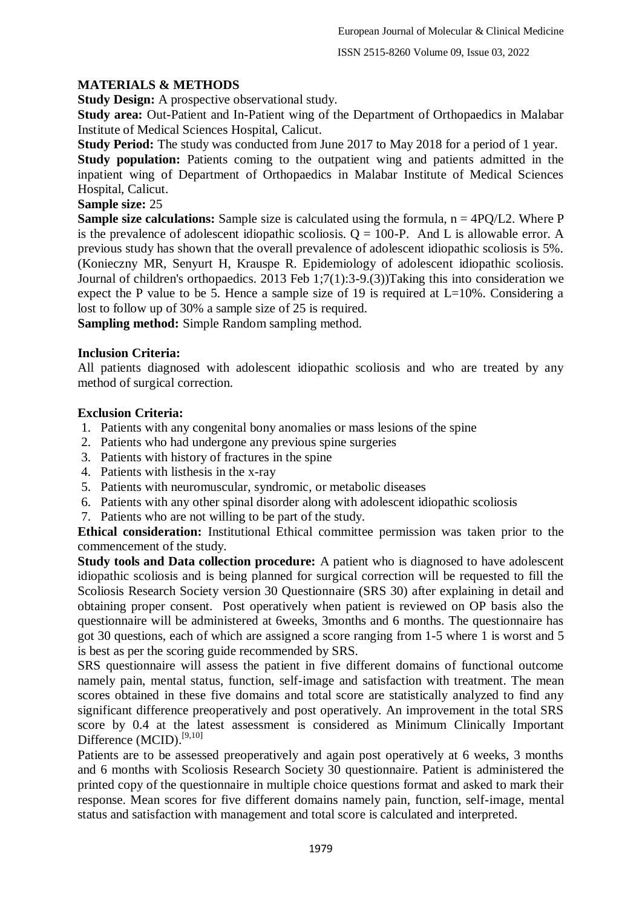#### **MATERIALS & METHODS**

**Study Design:** A prospective observational study.

**Study area:** Out-Patient and In-Patient wing of the Department of Orthopaedics in Malabar Institute of Medical Sciences Hospital, Calicut.

**Study Period:** The study was conducted from June 2017 to May 2018 for a period of 1 year. **Study population:** Patients coming to the outpatient wing and patients admitted in the inpatient wing of Department of Orthopaedics in Malabar Institute of Medical Sciences Hospital, Calicut.

#### **Sample size:** 25

**Sample size calculations:** Sample size is calculated using the formula,  $n = 4PO/L2$ . Where P is the prevalence of adolescent idiopathic scoliosis.  $Q = 100-P$ . And L is allowable error. A previous study has shown that the overall prevalence of adolescent idiopathic scoliosis is 5%. (Konieczny MR, Senyurt H, Krauspe R. Epidemiology of adolescent idiopathic scoliosis. Journal of children's orthopaedics. 2013 Feb 1;7(1):3-9.(3))Taking this into consideration we expect the P value to be 5. Hence a sample size of 19 is required at  $L=10\%$ . Considering a lost to follow up of 30% a sample size of 25 is required.

**Sampling method:** Simple Random sampling method.

#### **Inclusion Criteria:**

All patients diagnosed with adolescent idiopathic scoliosis and who are treated by any method of surgical correction.

#### **Exclusion Criteria:**

- 1. Patients with any congenital bony anomalies or mass lesions of the spine
- 2. Patients who had undergone any previous spine surgeries
- 3. Patients with history of fractures in the spine
- 4. Patients with listhesis in the x-ray
- 5. Patients with neuromuscular, syndromic, or metabolic diseases
- 6. Patients with any other spinal disorder along with adolescent idiopathic scoliosis
- 7. Patients who are not willing to be part of the study.

**Ethical consideration:** Institutional Ethical committee permission was taken prior to the commencement of the study.

**Study tools and Data collection procedure:** A patient who is diagnosed to have adolescent idiopathic scoliosis and is being planned for surgical correction will be requested to fill the Scoliosis Research Society version 30 Questionnaire (SRS 30) after explaining in detail and obtaining proper consent. Post operatively when patient is reviewed on OP basis also the questionnaire will be administered at 6weeks, 3months and 6 months. The questionnaire has got 30 questions, each of which are assigned a score ranging from 1-5 where 1 is worst and 5 is best as per the scoring guide recommended by SRS.

SRS questionnaire will assess the patient in five different domains of functional outcome namely pain, mental status, function, self-image and satisfaction with treatment. The mean scores obtained in these five domains and total score are statistically analyzed to find any significant difference preoperatively and post operatively. An improvement in the total SRS score by 0.4 at the latest assessment is considered as Minimum Clinically Important Difference (MCID).<sup>[9,10]</sup>

Patients are to be assessed preoperatively and again post operatively at 6 weeks, 3 months and 6 months with Scoliosis Research Society 30 questionnaire. Patient is administered the printed copy of the questionnaire in multiple choice questions format and asked to mark their response. Mean scores for five different domains namely pain, function, self-image, mental status and satisfaction with management and total score is calculated and interpreted.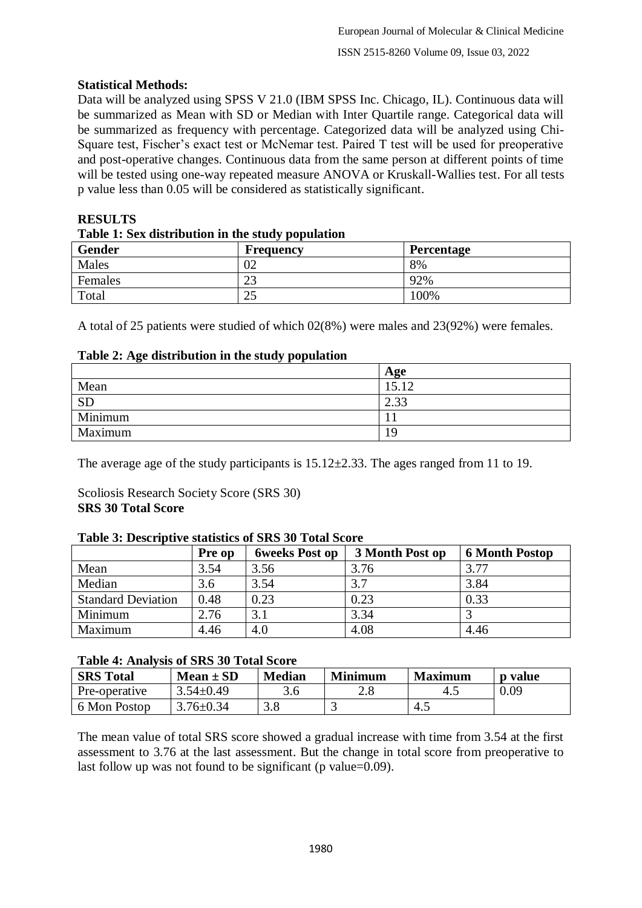#### **Statistical Methods:**

Data will be analyzed using SPSS V 21.0 (IBM SPSS Inc. Chicago, IL). Continuous data will be summarized as Mean with SD or Median with Inter Quartile range. Categorical data will be summarized as frequency with percentage. Categorized data will be analyzed using Chi-Square test, Fischer's exact test or McNemar test. Paired T test will be used for preoperative and post-operative changes. Continuous data from the same person at different points of time will be tested using one-way repeated measure ANOVA or Kruskall-Wallies test. For all tests p value less than 0.05 will be considered as statistically significant.

# **RESULTS**

| Table 1: Sex distribution in the study population |           |                   |  |  |
|---------------------------------------------------|-----------|-------------------|--|--|
| <b>Gender</b>                                     | Frequency | <b>Percentage</b> |  |  |
| Males                                             |           | 8%                |  |  |
| Females                                           |           | 92%               |  |  |
| Total                                             | າ -<br>۷  | 100%              |  |  |

#### **Table 1: Sex distribution in the study population**

A total of 25 patients were studied of which 02(8%) were males and 23(92%) were females.

#### **Table 2: Age distribution in the study population**

|           | Age   |
|-----------|-------|
| Mean      | 15.12 |
| <b>SD</b> | 2.33  |
| Minimum   |       |
| Maximum   | 19    |

The average age of the study participants is  $15.12 \pm 2.33$ . The ages ranged from 11 to 19.

#### Scoliosis Research Society Score (SRS 30) **SRS 30 Total Score**

#### **Table 3: Descriptive statistics of SRS 30 Total Score**

|                           | <b>Pre op</b> | <b>6weeks Post op</b> | 3 Month Post op | <b>6 Month Postop</b> |
|---------------------------|---------------|-----------------------|-----------------|-----------------------|
| Mean                      | 3.54          | 3.56                  | 3.76            | 3.77                  |
| Median                    | 3.6           | 3.54                  | 3.7             | 3.84                  |
| <b>Standard Deviation</b> | 0.48          | 0.23                  | 0.23            | 0.33                  |
| Minimum                   | 2.76          | 3.1                   | 3.34            |                       |
| Maximum                   | 4.46          | 4.0                   | 4.08            | 4.46                  |

#### **Table 4: Analysis of SRS 30 Total Score**

| <b>SRS</b> Total | $Mean \pm SD$   | <b>Median</b> | <b>Minimum</b> | <b>Maximum</b> | <b>p</b> value |
|------------------|-----------------|---------------|----------------|----------------|----------------|
| Pre-operative    | $3.54 \pm 0.49$ | 3.6           | າ ເ<br>۵.۵     | 4.1            | 0.09           |
| 6 Mon Postop     | $3.76 \pm 0.34$ |               |                | 4.1            |                |

The mean value of total SRS score showed a gradual increase with time from 3.54 at the first assessment to 3.76 at the last assessment. But the change in total score from preoperative to last follow up was not found to be significant (p value=0.09).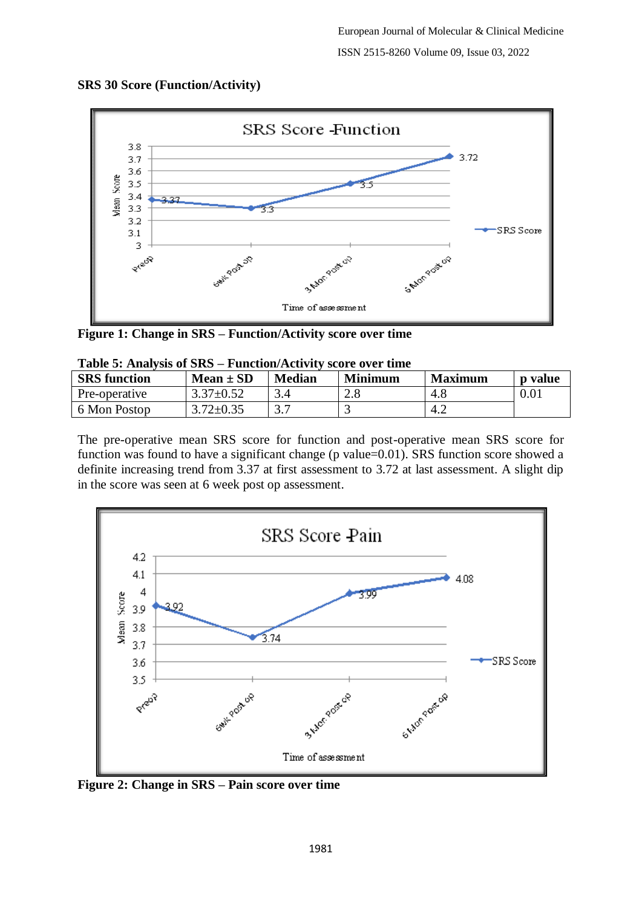

#### **SRS 30 Score (Function/Activity)**

**Figure 1: Change in SRS – Function/Activity score over time**

| <b>Table 5: Analysis 01 SKS – Function/ACTIVIty score over thine</b> |                 |               |                |                |         |  |
|----------------------------------------------------------------------|-----------------|---------------|----------------|----------------|---------|--|
| <b>SRS</b> function                                                  | $Mean \pm SD$   | <b>Median</b> | <b>Minimum</b> | <b>Maximum</b> | p value |  |
| Pre-operative                                                        | $3.37 \pm 0.52$ |               |                | 4.8            | 0.01    |  |
| 6 Mon Postop                                                         | $3.72 \pm 0.35$ |               |                | 4.2            |         |  |

|  |  |  | Table 5: Analysis of SRS – Function/Activity score over time |  |  |
|--|--|--|--------------------------------------------------------------|--|--|
|--|--|--|--------------------------------------------------------------|--|--|

The pre-operative mean SRS score for function and post-operative mean SRS score for function was found to have a significant change (p value=0.01). SRS function score showed a definite increasing trend from 3.37 at first assessment to 3.72 at last assessment. A slight dip in the score was seen at 6 week post op assessment.



**Figure 2: Change in SRS – Pain score over time**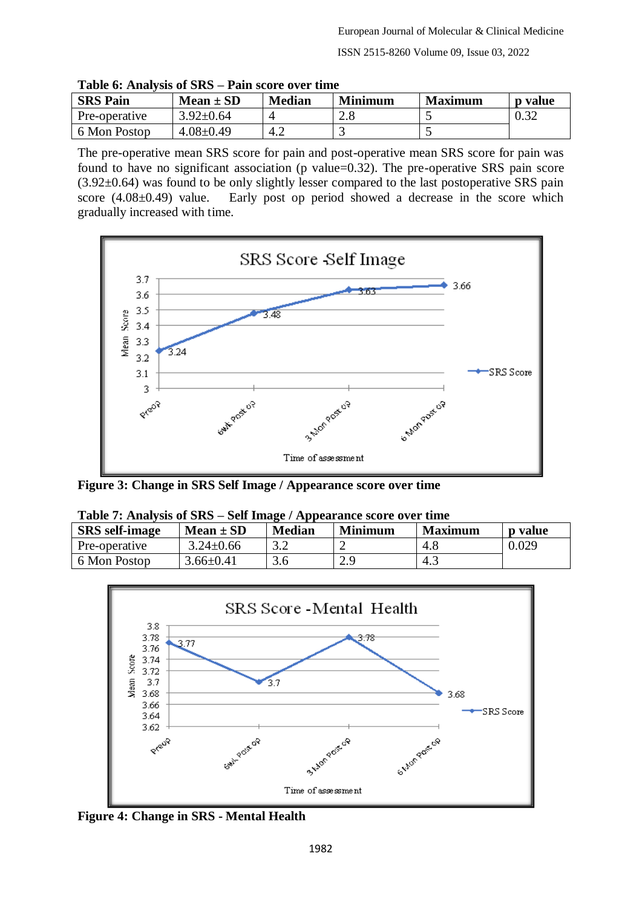| <b>SRS Pain</b> | $Mean \pm SD$   | <b>Median</b> | <b>Minimum</b> | <b>Maximum</b> | <b>p</b> value |
|-----------------|-----------------|---------------|----------------|----------------|----------------|
| Pre-operative   | $3.92 \pm 0.64$ |               | ۷.۵            |                | 0.32           |
| 6 Mon Postop    | $4.08 \pm 0.49$ | 4.2           |                |                |                |

**Table 6: Analysis of SRS – Pain score over time**

The pre-operative mean SRS score for pain and post-operative mean SRS score for pain was found to have no significant association (p value=0.32). The pre-operative SRS pain score  $(3.92\pm0.64)$  was found to be only slightly lesser compared to the last postoperative SRS pain score (4.08±0.49) value. Early post op period showed a decrease in the score which gradually increased with time.



**Figure 3: Change in SRS Self Image / Appearance score over time**

| Table 7: Analysis of SRS – Self Image / Appearance score over time |                 |               |                |                |         |
|--------------------------------------------------------------------|-----------------|---------------|----------------|----------------|---------|
| <b>SRS</b> self-image                                              | $Mean \pm SD$   | <b>Median</b> | <b>Minimum</b> | <b>Maximum</b> | p value |
| Pre-operative                                                      | $3.24 \pm 0.66$ |               |                | 4.8            | 0.029   |
| 6 Mon Postop                                                       | $3.66 \pm 0.41$ | 3.6           | 2.9            | 4.3            |         |

| Table $T$ . Analysis of $S\mathbb{R}S = S$ en Thiage / Appearance score over this |                 |               |         |                |         |
|-----------------------------------------------------------------------------------|-----------------|---------------|---------|----------------|---------|
| <b>SRS</b> self-image                                                             | $Mean \pm SD$   | <b>Median</b> | Minimum | <b>Maximum</b> | p value |
| Pre-operative                                                                     | $3.24 \pm 0.66$ |               |         | 4.8            | 0.029   |
| 6 Mon Postop                                                                      | $3.66 \pm 0.41$ | 3.6           | 2.9     | -4.            |         |



**Figure 4: Change in SRS - Mental Health**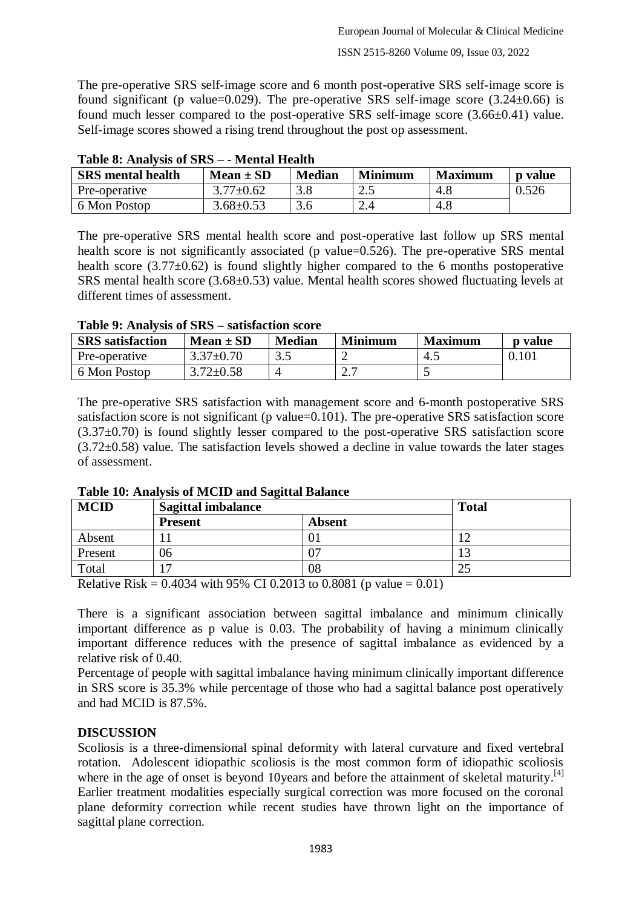The pre-operative SRS self-image score and 6 month post-operative SRS self-image score is found significant (p value=0.029). The pre-operative SRS self-image score  $(3.24 \pm 0.66)$  is found much lesser compared to the post-operative SRS self-image score (3.66±0.41) value. Self-image scores showed a rising trend throughout the post op assessment.

| <b>SRS</b> mental health | $Mean \pm SD$   | <b>Median</b> | <b>Minimum</b> | <b>Maximum</b> | <b>p</b> value |
|--------------------------|-----------------|---------------|----------------|----------------|----------------|
| Pre-operative            | $3.77 \pm 0.62$ |               | ∠…             | 4.8            | 0.526          |
| 6 Mon Postop             | $3.68 \pm 0.53$ |               | 2.4            | 4.8            |                |

|  |  |  | Table 8: Analysis of SRS - - Mental Health |
|--|--|--|--------------------------------------------|
|--|--|--|--------------------------------------------|

The pre-operative SRS mental health score and post-operative last follow up SRS mental health score is not significantly associated (p value=0.526). The pre-operative SRS mental health score  $(3.77\pm0.62)$  is found slightly higher compared to the 6 months postoperative SRS mental health score (3.68±0.53) value. Mental health scores showed fluctuating levels at different times of assessment.

|  |  |  | Table 9: Analysis of SRS – satisfaction score |
|--|--|--|-----------------------------------------------|
|--|--|--|-----------------------------------------------|

| <b>SRS</b> satisfaction | $Mean \pm SD$   | <b>Median</b> | <b>Minimum</b> | <b>Maximum</b> | <b>p</b> value |
|-------------------------|-----------------|---------------|----------------|----------------|----------------|
| Pre-operative           | $3.37 \pm 0.70$ | J.J           |                | 4.1            | 0.101          |
| 6 Mon Postop            | $3.72 \pm 0.58$ |               | ، ، ،          |                |                |

The pre-operative SRS satisfaction with management score and 6-month postoperative SRS satisfaction score is not significant (p value=0.101). The pre-operative SRS satisfaction score  $(3.37\pm0.70)$  is found slightly lesser compared to the post-operative SRS satisfaction score  $(3.72\pm0.58)$  value. The satisfaction levels showed a decline in value towards the later stages of assessment.

| <b>MCID</b> | <b>Sagittal imbalance</b> | <b>Total</b>  |    |
|-------------|---------------------------|---------------|----|
|             | <b>Present</b>            | <b>Absent</b> |    |
| Absent      |                           | UΙ            |    |
| Present     | 06                        | 07            |    |
| Total       | $\overline{\phantom{0}}$  | 08            | 25 |

**Table 10: Analysis of MCID and Sagittal Balance**

Relative Risk =  $0.4034$  with 95% CI 0.2013 to 0.8081 (p value = 0.01)

There is a significant association between sagittal imbalance and minimum clinically important difference as p value is 0.03. The probability of having a minimum clinically important difference reduces with the presence of sagittal imbalance as evidenced by a relative risk of 0.40.

Percentage of people with sagittal imbalance having minimum clinically important difference in SRS score is 35.3% while percentage of those who had a sagittal balance post operatively and had MCID is 87.5%.

## **DISCUSSION**

Scoliosis is a three-dimensional spinal deformity with lateral curvature and fixed vertebral rotation. Adolescent idiopathic scoliosis is the most common form of idiopathic scoliosis where in the age of onset is beyond 10years and before the attainment of skeletal maturity.<sup>[4]</sup> Earlier treatment modalities especially surgical correction was more focused on the coronal plane deformity correction while recent studies have thrown light on the importance of sagittal plane correction.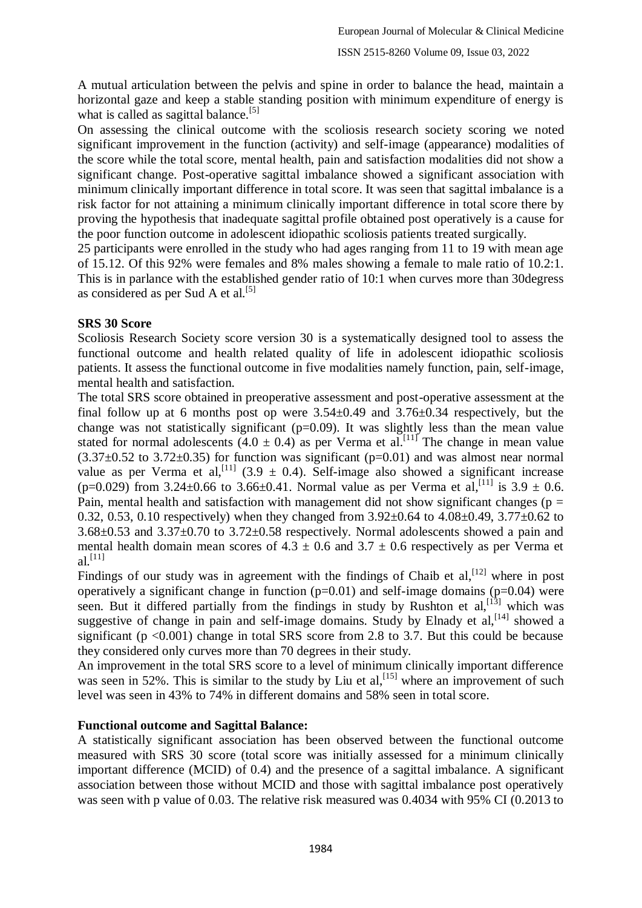A mutual articulation between the pelvis and spine in order to balance the head, maintain a horizontal gaze and keep a stable standing position with minimum expenditure of energy is what is called as sagittal balance.<sup>[5]</sup>

On assessing the clinical outcome with the scoliosis research society scoring we noted significant improvement in the function (activity) and self-image (appearance) modalities of the score while the total score, mental health, pain and satisfaction modalities did not show a significant change. Post-operative sagittal imbalance showed a significant association with minimum clinically important difference in total score. It was seen that sagittal imbalance is a risk factor for not attaining a minimum clinically important difference in total score there by proving the hypothesis that inadequate sagittal profile obtained post operatively is a cause for the poor function outcome in adolescent idiopathic scoliosis patients treated surgically.

25 participants were enrolled in the study who had ages ranging from 11 to 19 with mean age of 15.12. Of this 92% were females and 8% males showing a female to male ratio of 10.2:1. This is in parlance with the established gender ratio of 10:1 when curves more than 30degress as considered as per Sud A et al.<sup>[5]</sup>

#### **SRS 30 Score**

Scoliosis Research Society score version 30 is a systematically designed tool to assess the functional outcome and health related quality of life in adolescent idiopathic scoliosis patients. It assess the functional outcome in five modalities namely function, pain, self-image, mental health and satisfaction.

The total SRS score obtained in preoperative assessment and post-operative assessment at the final follow up at 6 months post op were  $3.54\pm0.49$  and  $3.76\pm0.34$  respectively, but the change was not statistically significant  $(p=0.09)$ . It was slightly less than the mean value stated for normal adolescents  $(4.0 \pm 0.4)$  as per Verma et al.<sup>[11]</sup> The change in mean value  $(3.37\pm0.52$  to 3.72 $\pm$ 0.35) for function was significant (p=0.01) and was almost near normal value as per Verma et al,<sup>[11]</sup> (3.9  $\pm$  0.4). Self-image also showed a significant increase  $(p=0.029)$  from 3.24±0.66 to 3.66±0.41. Normal value as per Verma et al,<sup>[11]</sup> is 3.9 ± 0.6. Pain, mental health and satisfaction with management did not show significant changes ( $p =$ 0.32, 0.53, 0.10 respectively) when they changed from  $3.92\pm0.64$  to  $4.08\pm0.49$ ,  $3.77\pm0.62$  to 3.68±0.53 and 3.37±0.70 to 3.72±0.58 respectively. Normal adolescents showed a pain and mental health domain mean scores of  $4.3 \pm 0.6$  and  $3.7 \pm 0.6$  respectively as per Verma et  $al.$ <sup>[11]</sup>

Findings of our study was in agreement with the findings of Chaib et  $al$ ,  $[12]$  where in post operatively a significant change in function  $(p=0.01)$  and self-image domains  $(p=0.04)$  were seen. But it differed partially from the findings in study by Rushton et  $al$ ,  $[13]$  which was suggestive of change in pain and self-image domains. Study by Elnady et  $al$ ,  $[14]$  showed a significant ( $p < 0.001$ ) change in total SRS score from 2.8 to 3.7. But this could be because they considered only curves more than 70 degrees in their study.

An improvement in the total SRS score to a level of minimum clinically important difference was seen in 52%. This is similar to the study by Liu et al,  $^{[15]}$  where an improvement of such level was seen in 43% to 74% in different domains and 58% seen in total score.

#### **Functional outcome and Sagittal Balance:**

A statistically significant association has been observed between the functional outcome measured with SRS 30 score (total score was initially assessed for a minimum clinically important difference (MCID) of 0.4) and the presence of a sagittal imbalance. A significant association between those without MCID and those with sagittal imbalance post operatively was seen with p value of 0.03. The relative risk measured was 0.4034 with 95% CI (0.2013 to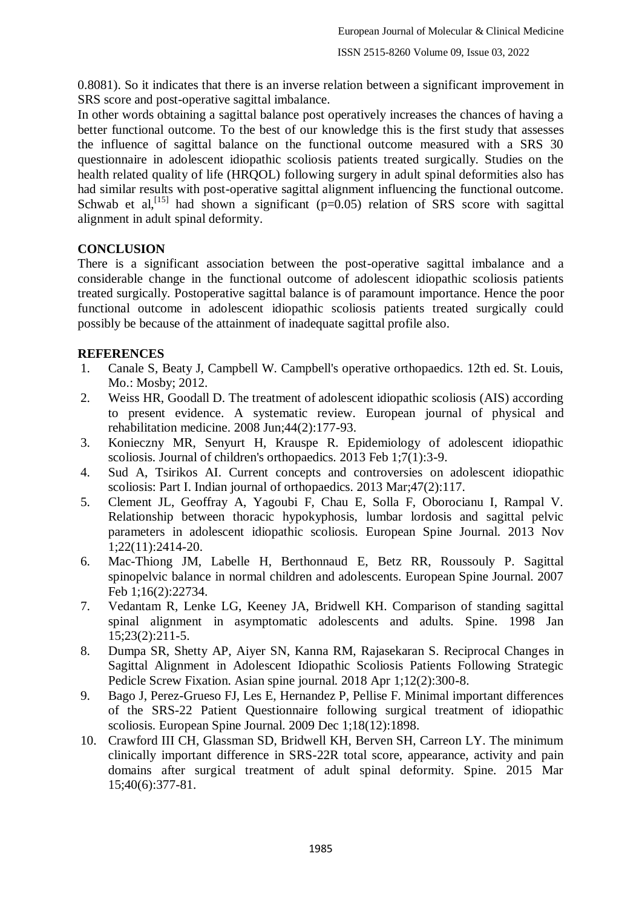0.8081). So it indicates that there is an inverse relation between a significant improvement in SRS score and post-operative sagittal imbalance.

In other words obtaining a sagittal balance post operatively increases the chances of having a better functional outcome. To the best of our knowledge this is the first study that assesses the influence of sagittal balance on the functional outcome measured with a SRS 30 questionnaire in adolescent idiopathic scoliosis patients treated surgically. Studies on the health related quality of life (HRQOL) following surgery in adult spinal deformities also has had similar results with post-operative sagittal alignment influencing the functional outcome. Schwab et al,<sup>[15]</sup> had shown a significant ( $p=0.05$ ) relation of SRS score with sagittal alignment in adult spinal deformity.

## **CONCLUSION**

There is a significant association between the post-operative sagittal imbalance and a considerable change in the functional outcome of adolescent idiopathic scoliosis patients treated surgically. Postoperative sagittal balance is of paramount importance. Hence the poor functional outcome in adolescent idiopathic scoliosis patients treated surgically could possibly be because of the attainment of inadequate sagittal profile also.

## **REFERENCES**

- 1. Canale S, Beaty J, Campbell W. Campbell's operative orthopaedics. 12th ed. St. Louis, Mo.: Mosby; 2012.
- 2. Weiss HR, Goodall D. The treatment of adolescent idiopathic scoliosis (AIS) according to present evidence. A systematic review. European journal of physical and rehabilitation medicine. 2008 Jun;44(2):177-93.
- 3. Konieczny MR, Senyurt H, Krauspe R. Epidemiology of adolescent idiopathic scoliosis. Journal of children's orthopaedics. 2013 Feb 1;7(1):3-9.
- 4. Sud A, Tsirikos AI. Current concepts and controversies on adolescent idiopathic scoliosis: Part I. Indian journal of orthopaedics. 2013 Mar;47(2):117.
- 5. Clement JL, Geoffray A, Yagoubi F, Chau E, Solla F, Oborocianu I, Rampal V. Relationship between thoracic hypokyphosis, lumbar lordosis and sagittal pelvic parameters in adolescent idiopathic scoliosis. European Spine Journal. 2013 Nov 1;22(11):2414-20.
- 6. Mac-Thiong JM, Labelle H, Berthonnaud E, Betz RR, Roussouly P. Sagittal spinopelvic balance in normal children and adolescents. European Spine Journal. 2007 Feb 1;16(2):22734.
- 7. Vedantam R, Lenke LG, Keeney JA, Bridwell KH. Comparison of standing sagittal spinal alignment in asymptomatic adolescents and adults. Spine. 1998 Jan 15;23(2):211-5.
- 8. Dumpa SR, Shetty AP, Aiyer SN, Kanna RM, Rajasekaran S. Reciprocal Changes in Sagittal Alignment in Adolescent Idiopathic Scoliosis Patients Following Strategic Pedicle Screw Fixation. Asian spine journal. 2018 Apr 1;12(2):300-8.
- 9. Bago J, Perez-Grueso FJ, Les E, Hernandez P, Pellise F. Minimal important differences of the SRS-22 Patient Questionnaire following surgical treatment of idiopathic scoliosis. European Spine Journal. 2009 Dec 1;18(12):1898.
- 10. Crawford III CH, Glassman SD, Bridwell KH, Berven SH, Carreon LY. The minimum clinically important difference in SRS-22R total score, appearance, activity and pain domains after surgical treatment of adult spinal deformity. Spine. 2015 Mar 15;40(6):377-81.